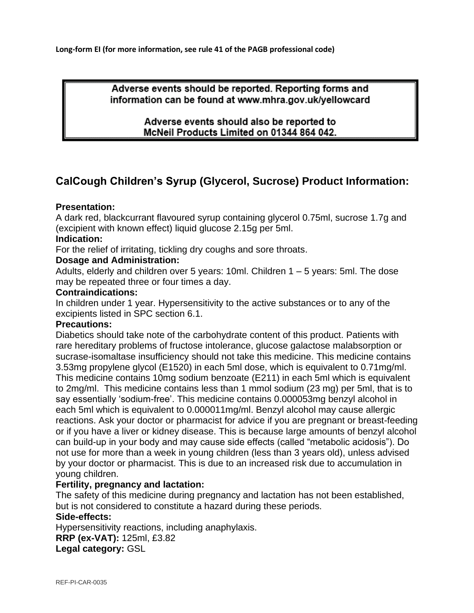**Long-form EI (for more information, see rule 41 of the PAGB professional code)**

Adverse events should be reported. Reporting forms and information can be found at www.mhra.gov.uk/yellowcard

> Adverse events should also be reported to McNeil Products Limited on 01344 864 042.

# **CalCough Children's Syrup (Glycerol, Sucrose) Product Information:**

## **Presentation:**

A dark red, blackcurrant flavoured syrup containing glycerol 0.75ml, sucrose 1.7g and (excipient with known effect) liquid glucose 2.15g per 5ml.

## **Indication:**

For the relief of irritating, tickling dry coughs and sore throats.

## **Dosage and Administration:**

Adults, elderly and children over 5 years: 10ml. Children 1 – 5 years: 5ml. The dose may be repeated three or four times a day.

## **Contraindications:**

In children under 1 year. Hypersensitivity to the active substances or to any of the excipients listed in SPC section 6.1.

#### **Precautions:**

Diabetics should take note of the carbohydrate content of this product. Patients with rare hereditary problems of fructose intolerance, glucose galactose malabsorption or sucrase-isomaltase insufficiency should not take this medicine. This medicine contains 3.53mg propylene glycol (E1520) in each 5ml dose, which is equivalent to 0.71mg/ml. This medicine contains 10mg sodium benzoate (E211) in each 5ml which is equivalent to 2mg/ml. This medicine contains less than 1 mmol sodium (23 mg) per 5ml, that is to say essentially 'sodium-free'. This medicine contains 0.000053mg benzyl alcohol in each 5ml which is equivalent to 0.000011mg/ml. Benzyl alcohol may cause allergic reactions. Ask your doctor or pharmacist for advice if you are pregnant or breast-feeding or if you have a liver or kidney disease. This is because large amounts of benzyl alcohol can build-up in your body and may cause side effects (called "metabolic acidosis"). Do not use for more than a week in young children (less than 3 years old), unless advised by your doctor or pharmacist. This is due to an increased risk due to accumulation in young children.

#### **Fertility, pregnancy and lactation:**

The safety of this medicine during pregnancy and lactation has not been established, but is not considered to constitute a hazard during these periods.

#### **Side-effects:**

Hypersensitivity reactions, including anaphylaxis. **RRP (ex-VAT):** 125ml, £3.82 **Legal category:** GSL